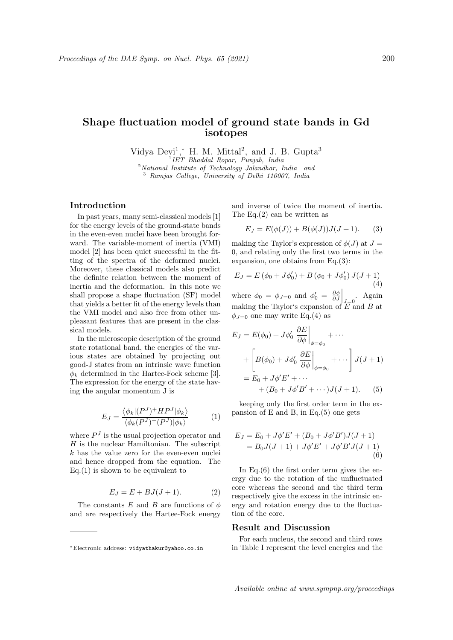# Shape fluctuation model of ground state bands in Gd isotopes

Vidya Devi<sup>1</sup>,\* H. M. Mittal<sup>2</sup>, and J. B. Gupta<sup>3</sup>

1 IET Bhaddal Ropar, Punjab, India <sup>2</sup>National Institute of Technology Jalandhar, India and <sup>3</sup> Ramjas College, University of Delhi 110007, India

## Introduction

In past years, many semi-classical models [1] for the energy levels of the ground-state bands in the even-even nuclei have been brought forward. The variable-moment of inertia (VMI) model [2] has been quiet successful in the fitting of the spectra of the deformed nuclei. Moreover, these classical models also predict the definite relation between the moment of inertia and the deformation. In this note we shall propose a shape fluctuation (SF) model that yields a better fit of the energy levels than the VMI model and also free from other unpleasant features that are present in the classical models.

In the microscopic description of the ground state rotational band, the energies of the various states are obtained by projecting out good-J states from an intrinsic wave function  $\phi_k$  determined in the Hartee-Fock scheme [3]. The expression for the energy of the state having the angular momentum J is

$$
E_J = \frac{\langle \phi_k | (P^J)^+ H P^J | \phi_k \rangle}{\langle \phi_k (P^J)^+ (P^J) | \phi_k \rangle} \tag{1}
$$

where  $P<sup>J</sup>$  is the usual projection operator and  $H$  is the nuclear Hamiltonian. The subscript  $k$  has the value zero for the even-even nuclei and hence dropped from the equation. The  $Eq.(1)$  is shown to be equivalent to

$$
E_J = E + BJ(J+1). \tag{2}
$$

The constants E and B are functions of  $\phi$ and are respectively the Hartee-Fock energy

and inverse of twice the moment of inertia. The Eq.(2) can be written as

$$
E_J = E(\phi(J)) + B(\phi(J))J(J+1). \tag{3}
$$

making the Taylor's expression of  $\phi(J)$  at  $J =$ 0, and relating only the first two terms in the expansion, one obtains from Eq.(3):

$$
E_J = E (\phi_0 + J\phi'_0) + B (\phi_0 + J\phi'_0) J(J+1)
$$
  
(4)

where  $\phi_0 = \phi_{J=0}$  and  $\phi'_0 = \frac{\partial \phi}{\partial J}\Big|_{J=0}$ . Again making the Taylor's expansion of  $\overline{E}$  and B at  $\phi_{J=0}$  one may write Eq.(4) as

$$
E_J = E(\phi_0) + J\phi'_0 \left. \frac{\partial E}{\partial \phi} \right|_{\phi = \phi_0} + \cdots
$$
  
+ 
$$
\left[ B(\phi_0) + J\phi'_0 \left. \frac{\partial E}{\partial \phi} \right|_{\phi = \phi_0} + \cdots \right] J(J+1)
$$
  
= 
$$
E_0 + J\phi' E' + \cdots
$$
  
+ 
$$
(B_0 + J\phi' B' + \cdots) J(J+1).
$$
 (5)

keeping only the first order term in the expansion of E and B, in Eq.(5) one gets

$$
E_J = E_0 + J\phi'E' + (B_0 + J\phi'B')J(J+1)
$$
  
=  $B_0J(J+1) + J\phi'E' + J\phi'B'J(J+1)$  (6)

In Eq. $(6)$  the first order term gives the energy due to the rotation of the unfluctuated core whereas the second and the third term respectively give the excess in the intrinsic energy and rotation energy due to the fluctuation of the core.

### Result and Discussion

For each nucleus, the second and third rows in Table I represent the level energies and the

<sup>∗</sup>Electronic address: vidyathakur@yahoo.co.in